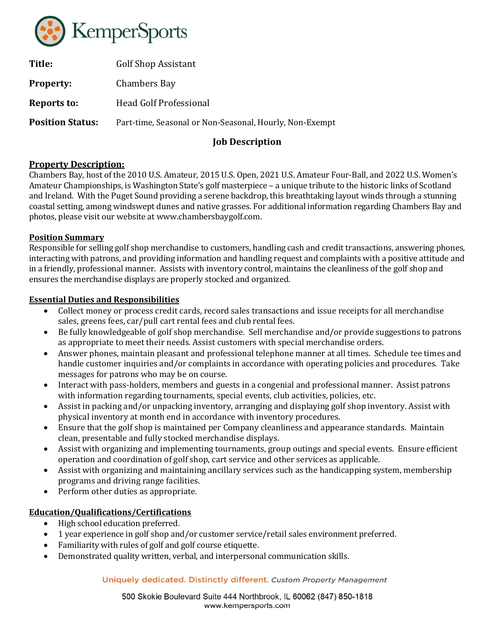

| Title:                  | <b>Golf Shop Assistant</b>                              |
|-------------------------|---------------------------------------------------------|
| <b>Property:</b>        | <b>Chambers Bay</b>                                     |
| Reports to:             | Head Golf Professional                                  |
| <b>Position Status:</b> | Part-time, Seasonal or Non-Seasonal, Hourly, Non-Exempt |
|                         |                                                         |

# Job Description

# Property Description:

Chambers Bay, host of the 2010 U.S. Amateur, 2015 U.S. Open, 2021 U.S. Amateur Four-Ball, and 2022 U.S. Women's Amateur Championships, is Washington State's golf masterpiece – a unique tribute to the historic links of Scotland and Ireland. With the Puget Sound providing a serene backdrop, this breathtaking layout winds through a stunning coastal setting, among windswept dunes and native grasses. For additional information regarding Chambers Bay and photos, please visit our website at www.chambersbaygolf.com.

## Position Summary

Responsible for selling golf shop merchandise to customers, handling cash and credit transactions, answering phones, interacting with patrons, and providing information and handling request and complaints with a positive attitude and in a friendly, professional manner. Assists with inventory control, maintains the cleanliness of the golf shop and ensures the merchandise displays are properly stocked and organized.

## Essential Duties and Responsibilities

- Collect money or process credit cards, record sales transactions and issue receipts for all merchandise sales, greens fees, car/pull cart rental fees and club rental fees.
- Be fully knowledgeable of golf shop merchandise. Sell merchandise and/or provide suggestions to patrons as appropriate to meet their needs. Assist customers with special merchandise orders.
- Answer phones, maintain pleasant and professional telephone manner at all times. Schedule tee times and handle customer inquiries and/or complaints in accordance with operating policies and procedures. Take messages for patrons who may be on course.
- Interact with pass-holders, members and guests in a congenial and professional manner. Assist patrons with information regarding tournaments, special events, club activities, policies, etc.
- Assist in packing and/or unpacking inventory, arranging and displaying golf shop inventory. Assist with physical inventory at month end in accordance with inventory procedures.
- Ensure that the golf shop is maintained per Company cleanliness and appearance standards. Maintain clean, presentable and fully stocked merchandise displays.
- Assist with organizing and implementing tournaments, group outings and special events. Ensure efficient operation and coordination of golf shop, cart service and other services as applicable.
- Assist with organizing and maintaining ancillary services such as the handicapping system, membership programs and driving range facilities.
- Perform other duties as appropriate.

# Education/Qualifications/Certifications

- High school education preferred.
- 1 year experience in golf shop and/or customer service/retail sales environment preferred.
- Familiarity with rules of golf and golf course etiquette.
- Demonstrated quality written, verbal, and interpersonal communication skills.

#### Uniquely dedicated. Distinctly different. Custom Property Management

500 Skokie Boulevard Suite 444 Northbrook, IL 60062 (847) 850-1818 www.kempersports.com